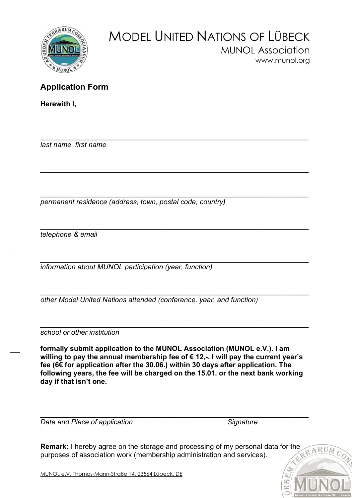

## MODEL UNITED NATIONS OF LÜBECK MUNOL Association www.munol.org

## Application Form

Herewith I,

 $\_$  , and the contribution of the contribution of the contribution of the contribution of  $\mathcal{L}_1$ last name, first name

 $\_$  , and the set of the set of the set of the set of the set of the set of the set of the set of the set of the set of the set of the set of the set of the set of the set of the set of the set of the set of the set of th permanent residence (address, town, postal code, country)

 $\_$  , and the set of the set of the set of the set of the set of the set of the set of the set of the set of the set of the set of the set of the set of the set of the set of the set of the set of the set of the set of th telephone & email

 $\_$  , and the contribution of the contribution of  $\mathcal{L}_\mathcal{A}$  , and the contribution of  $\mathcal{L}_\mathcal{A}$ information about MUNOL participation (year, function)

 $\_$  , and the set of the set of the set of the set of the set of the set of the set of the set of the set of the set of the set of the set of the set of the set of the set of the set of the set of the set of the set of th other Model United Nations attended (conference, year, and function)

 $\_$  , and the set of the set of the set of the set of the set of the set of the set of the set of the set of the set of the set of the set of the set of the set of the set of the set of the set of the set of the set of th school or other institution

formally submit application to the MUNOL Association (MUNOL e.V.). I am willing to pay the annual membership fee of € 12,-. I will pay the current year's fee (6€ for application after the 30.06.) within 30 days after application. The following years, the fee will be charged on the 15.01. or the next bank working day if that isn't one.

 $\_$  , and the contribution of the contribution of  $\mathcal{L}_\mathcal{A}$  , and the contribution of  $\mathcal{L}_\mathcal{A}$ 

 $\_$  , and the set of the set of the set of the set of the set of the set of the set of the set of the set of the set of the set of the set of the set of the set of the set of the set of the set of the set of the set of th Date and Place of application Signature Signature

 $\widehat{c_0}$ 

Remark: I hereby agree on the storage and processing of my personal data for the RARUM purposes of association work (membership administration and services).

MUNOL e.V. Thomas-Mann-Straße 14, 23564 Lübeck, DE